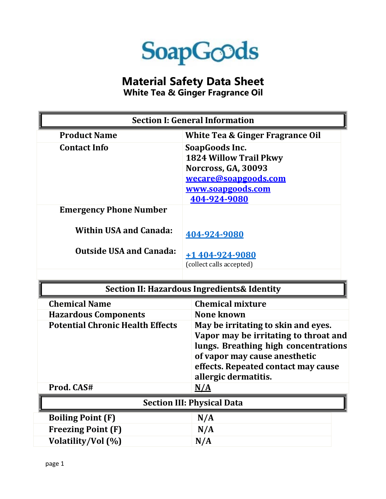

## **Material Safety Data Sheet**

**White Tea & Ginger Fragrance Oil**

|                                         | <b>Section I: General Information</b>       |
|-----------------------------------------|---------------------------------------------|
| <b>Product Name</b>                     | White Tea & Ginger Fragrance Oil            |
| <b>Contact Info</b>                     | SoapGoods Inc.                              |
|                                         | <b>1824 Willow Trail Pkwy</b>               |
|                                         | <b>Norcross, GA, 30093</b>                  |
|                                         | wecare@soapgoods.com                        |
|                                         | www.soapgoods.com<br>404-924-9080           |
| <b>Emergency Phone Number</b>           |                                             |
|                                         |                                             |
| <b>Within USA and Canada:</b>           | 404-924-9080                                |
|                                         |                                             |
| <b>Outside USA and Canada:</b>          | +1 404-924-9080                             |
|                                         | (collect calls accepted)                    |
|                                         |                                             |
|                                         |                                             |
|                                         | Section II: Hazardous Ingredients& Identity |
| <b>Chemical Name</b>                    | <b>Chemical mixture</b>                     |
| <b>Hazardous Components</b>             | <b>None known</b>                           |
| <b>Potential Chronic Health Effects</b> | May be irritating to skin and eyes.         |
|                                         | Vapor may be irritating to throat and       |
|                                         | lungs. Breathing high concentrations        |
|                                         | of vapor may cause anesthetic               |
|                                         | effects. Repeated contact may cause         |
| Prod. CAS#                              | allergic dermatitis.<br>N/A                 |
|                                         | <b>Section III: Physical Data</b>           |
| <b>Boiling Point (F)</b>                | N/A                                         |
| <b>Freezing Point (F)</b>               | N/A                                         |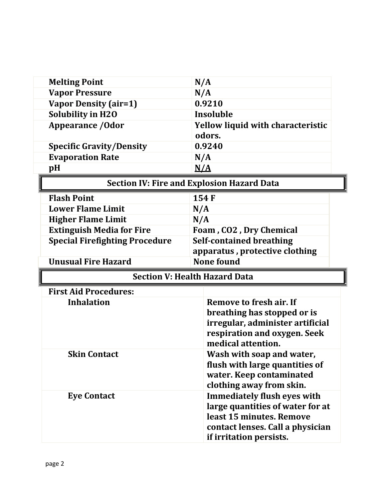| <b>Melting Point</b>                  | N/A                                                         |
|---------------------------------------|-------------------------------------------------------------|
| <b>Vapor Pressure</b>                 | N/A                                                         |
| <b>Vapor Density (air=1)</b>          | 0.9210                                                      |
| <b>Solubility in H2O</b>              | <b>Insoluble</b>                                            |
| <b>Appearance / Odor</b>              | <b>Yellow liquid with characteristic</b>                    |
|                                       | odors.                                                      |
| <b>Specific Gravity/Density</b>       | 0.9240                                                      |
| <b>Evaporation Rate</b>               | N/A                                                         |
| pH                                    | $\underline{\text{N}}/\underline{\text{A}}$                 |
|                                       | <b>Section IV: Fire and Explosion Hazard Data</b>           |
| <b>Flash Point</b>                    | 154 F                                                       |
| <b>Lower Flame Limit</b>              | N/A                                                         |
| <b>Higher Flame Limit</b>             | N/A                                                         |
| <b>Extinguish Media for Fire</b>      | Foam, CO2, Dry Chemical                                     |
| <b>Special Firefighting Procedure</b> | <b>Self-contained breathing</b>                             |
|                                       | apparatus, protective clothing                              |
| <b>Unusual Fire Hazard</b>            | <b>None found</b>                                           |
|                                       | <b>Section V: Health Hazard Data</b>                        |
| <b>First Aid Procedures:</b>          |                                                             |
| <b>Inhalation</b>                     | <b>Remove to fresh air. If</b>                              |
|                                       |                                                             |
|                                       | breathing has stopped or is                                 |
|                                       | irregular, administer artificial                            |
|                                       | respiration and oxygen. Seek                                |
|                                       | medical attention.                                          |
| <b>Skin Contact</b>                   | Wash with soap and water,                                   |
|                                       | flush with large quantities of                              |
|                                       | water. Keep contaminated                                    |
|                                       | clothing away from skin.                                    |
| <b>Eye Contact</b>                    | <b>Immediately flush eyes with</b>                          |
|                                       | large quantities of water for at                            |
|                                       | least 15 minutes. Remove                                    |
|                                       | contact lenses. Call a physician<br>if irritation persists. |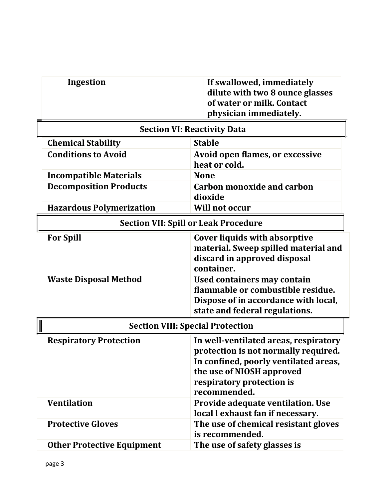| Ingestion                                   | If swallowed, immediately<br>dilute with two 8 ounce glasses<br>of water or milk. Contact<br>physician immediately.                                                                              |  |
|---------------------------------------------|--------------------------------------------------------------------------------------------------------------------------------------------------------------------------------------------------|--|
|                                             | <b>Section VI: Reactivity Data</b>                                                                                                                                                               |  |
| <b>Chemical Stability</b>                   | <b>Stable</b>                                                                                                                                                                                    |  |
| <b>Conditions to Avoid</b>                  | <b>Avoid open flames, or excessive</b><br>heat or cold.                                                                                                                                          |  |
| <b>Incompatible Materials</b>               | <b>None</b>                                                                                                                                                                                      |  |
| <b>Decomposition Products</b>               | <b>Carbon monoxide and carbon</b><br>dioxide                                                                                                                                                     |  |
| <b>Hazardous Polymerization</b>             | <b>Will not occur</b>                                                                                                                                                                            |  |
| <b>Section VII: Spill or Leak Procedure</b> |                                                                                                                                                                                                  |  |
| <b>For Spill</b>                            | <b>Cover liquids with absorptive</b><br>material. Sweep spilled material and<br>discard in approved disposal<br>container.                                                                       |  |
| <b>Waste Disposal Method</b>                | Used containers may contain<br>flammable or combustible residue.<br>Dispose of in accordance with local,<br>state and federal regulations.                                                       |  |
|                                             | <b>Section VIII: Special Protection</b>                                                                                                                                                          |  |
| <b>Respiratory Protection</b>               | In well-ventilated areas, respiratory<br>protection is not normally required.<br>In confined, poorly ventilated areas,<br>the use of NIOSH approved<br>respiratory protection is<br>recommended. |  |
| <b>Ventilation</b>                          | Provide adequate ventilation. Use<br>local l exhaust fan if necessary.                                                                                                                           |  |
| <b>Protective Gloves</b>                    | The use of chemical resistant gloves<br>is recommended.                                                                                                                                          |  |
| <b>Other Protective Equipment</b>           | The use of safety glasses is                                                                                                                                                                     |  |